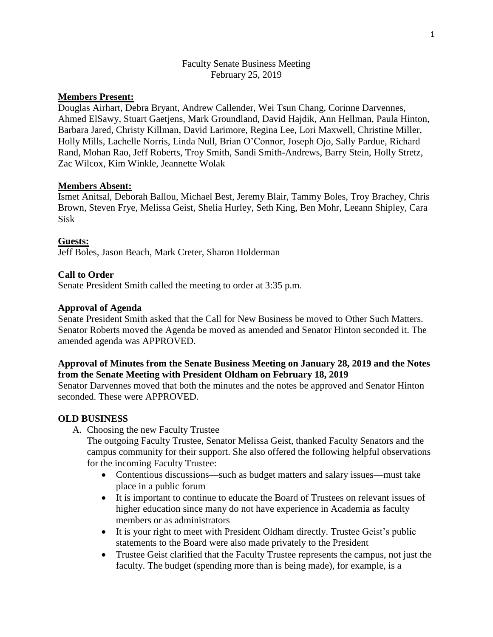## Faculty Senate Business Meeting February 25, 2019

# **Members Present:**

Douglas Airhart, Debra Bryant, Andrew Callender, Wei Tsun Chang, Corinne Darvennes, Ahmed ElSawy, Stuart Gaetjens, Mark Groundland, David Hajdik, Ann Hellman, Paula Hinton, Barbara Jared, Christy Killman, David Larimore, Regina Lee, Lori Maxwell, Christine Miller, Holly Mills, Lachelle Norris, Linda Null, Brian O'Connor, Joseph Ojo, Sally Pardue, Richard Rand, Mohan Rao, Jeff Roberts, Troy Smith, Sandi Smith-Andrews, Barry Stein, Holly Stretz, Zac Wilcox, Kim Winkle, Jeannette Wolak

### **Members Absent:**

Ismet Anitsal, Deborah Ballou, Michael Best, Jeremy Blair, Tammy Boles, Troy Brachey, Chris Brown, Steven Frye, Melissa Geist, Shelia Hurley, Seth King, Ben Mohr, Leeann Shipley, Cara Sisk

### **Guests:**

Jeff Boles, Jason Beach, Mark Creter, Sharon Holderman

### **Call to Order**

Senate President Smith called the meeting to order at 3:35 p.m.

### **Approval of Agenda**

Senate President Smith asked that the Call for New Business be moved to Other Such Matters. Senator Roberts moved the Agenda be moved as amended and Senator Hinton seconded it. The amended agenda was APPROVED.

## **Approval of Minutes from the Senate Business Meeting on January 28, 2019 and the Notes from the Senate Meeting with President Oldham on February 18, 2019**

Senator Darvennes moved that both the minutes and the notes be approved and Senator Hinton seconded. These were APPROVED.

#### **OLD BUSINESS**

A. Choosing the new Faculty Trustee

The outgoing Faculty Trustee, Senator Melissa Geist, thanked Faculty Senators and the campus community for their support. She also offered the following helpful observations for the incoming Faculty Trustee:

- Contentious discussions—such as budget matters and salary issues—must take place in a public forum
- It is important to continue to educate the Board of Trustees on relevant issues of higher education since many do not have experience in Academia as faculty members or as administrators
- It is your right to meet with President Oldham directly. Trustee Geist's public statements to the Board were also made privately to the President
- Trustee Geist clarified that the Faculty Trustee represents the campus, not just the faculty. The budget (spending more than is being made), for example, is a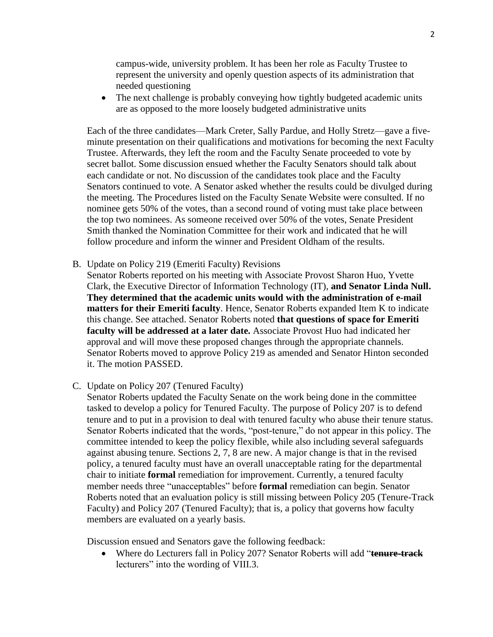campus-wide, university problem. It has been her role as Faculty Trustee to represent the university and openly question aspects of its administration that needed questioning

• The next challenge is probably conveying how tightly budgeted academic units are as opposed to the more loosely budgeted administrative units

Each of the three candidates—Mark Creter, Sally Pardue, and Holly Stretz—gave a fiveminute presentation on their qualifications and motivations for becoming the next Faculty Trustee. Afterwards, they left the room and the Faculty Senate proceeded to vote by secret ballot. Some discussion ensued whether the Faculty Senators should talk about each candidate or not. No discussion of the candidates took place and the Faculty Senators continued to vote. A Senator asked whether the results could be divulged during the meeting. The Procedures listed on the Faculty Senate Website were consulted. If no nominee gets 50% of the votes, than a second round of voting must take place between the top two nominees. As someone received over 50% of the votes, Senate President Smith thanked the Nomination Committee for their work and indicated that he will follow procedure and inform the winner and President Oldham of the results.

B. Update on Policy 219 (Emeriti Faculty) Revisions

Senator Roberts reported on his meeting with Associate Provost Sharon Huo, Yvette Clark, the Executive Director of Information Technology (IT), **and Senator Linda Null. They determined that the academic units would with the administration of e-mail matters for their Emeriti faculty**. Hence, Senator Roberts expanded Item K to indicate this change. See attached. Senator Roberts noted **that questions of space for Emeriti faculty will be addressed at a later date.** Associate Provost Huo had indicated her approval and will move these proposed changes through the appropriate channels. Senator Roberts moved to approve Policy 219 as amended and Senator Hinton seconded it. The motion PASSED.

C. Update on Policy 207 (Tenured Faculty)

Senator Roberts updated the Faculty Senate on the work being done in the committee tasked to develop a policy for Tenured Faculty. The purpose of Policy 207 is to defend tenure and to put in a provision to deal with tenured faculty who abuse their tenure status. Senator Roberts indicated that the words, "post-tenure," do not appear in this policy. The committee intended to keep the policy flexible, while also including several safeguards against abusing tenure. Sections 2, 7, 8 are new. A major change is that in the revised policy, a tenured faculty must have an overall unacceptable rating for the departmental chair to initiate **formal** remediation for improvement. Currently, a tenured faculty member needs three "unacceptables" before **formal** remediation can begin. Senator Roberts noted that an evaluation policy is still missing between Policy 205 (Tenure-Track Faculty) and Policy 207 (Tenured Faculty); that is, a policy that governs how faculty members are evaluated on a yearly basis.

Discussion ensued and Senators gave the following feedback:

 Where do Lecturers fall in Policy 207? Senator Roberts will add "**tenure-track** lecturers" into the wording of VIII.3.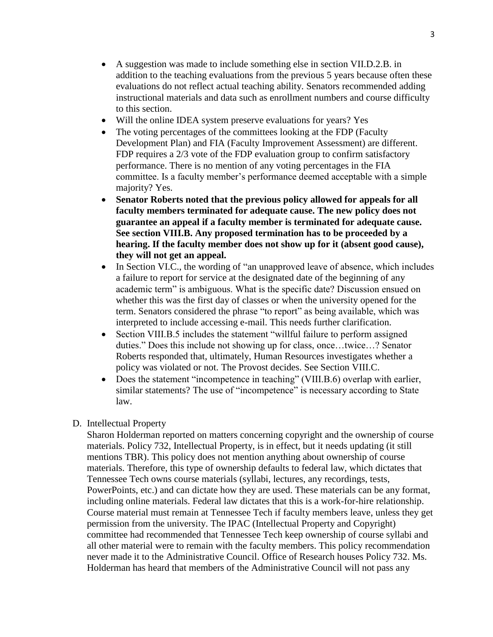- A suggestion was made to include something else in section VII.D.2.B. in addition to the teaching evaluations from the previous 5 years because often these evaluations do not reflect actual teaching ability. Senators recommended adding instructional materials and data such as enrollment numbers and course difficulty to this section.
- Will the online IDEA system preserve evaluations for years? Yes
- The voting percentages of the committees looking at the FDP (Faculty Development Plan) and FIA (Faculty Improvement Assessment) are different. FDP requires a 2/3 vote of the FDP evaluation group to confirm satisfactory performance. There is no mention of any voting percentages in the FIA committee. Is a faculty member's performance deemed acceptable with a simple majority? Yes.
- **Senator Roberts noted that the previous policy allowed for appeals for all faculty members terminated for adequate cause. The new policy does not guarantee an appeal if a faculty member is terminated for adequate cause. See section VIII.B. Any proposed termination has to be proceeded by a hearing. If the faculty member does not show up for it (absent good cause), they will not get an appeal.**
- In Section VI.C., the wording of "an unapproved leave of absence, which includes a failure to report for service at the designated date of the beginning of any academic term" is ambiguous. What is the specific date? Discussion ensued on whether this was the first day of classes or when the university opened for the term. Senators considered the phrase "to report" as being available, which was interpreted to include accessing e-mail. This needs further clarification.
- Section VIII.B.5 includes the statement "willful failure to perform assigned duties." Does this include not showing up for class, once…twice…? Senator Roberts responded that, ultimately, Human Resources investigates whether a policy was violated or not. The Provost decides. See Section VIII.C.
- Does the statement "incompetence in teaching" (VIII.B.6) overlap with earlier, similar statements? The use of "incompetence" is necessary according to State law.

#### D. Intellectual Property

Sharon Holderman reported on matters concerning copyright and the ownership of course materials. Policy 732, Intellectual Property, is in effect, but it needs updating (it still mentions TBR). This policy does not mention anything about ownership of course materials. Therefore, this type of ownership defaults to federal law, which dictates that Tennessee Tech owns course materials (syllabi, lectures, any recordings, tests, PowerPoints, etc.) and can dictate how they are used. These materials can be any format, including online materials. Federal law dictates that this is a work-for-hire relationship. Course material must remain at Tennessee Tech if faculty members leave, unless they get permission from the university. The IPAC (Intellectual Property and Copyright) committee had recommended that Tennessee Tech keep ownership of course syllabi and all other material were to remain with the faculty members. This policy recommendation never made it to the Administrative Council. Office of Research houses Policy 732. Ms. Holderman has heard that members of the Administrative Council will not pass any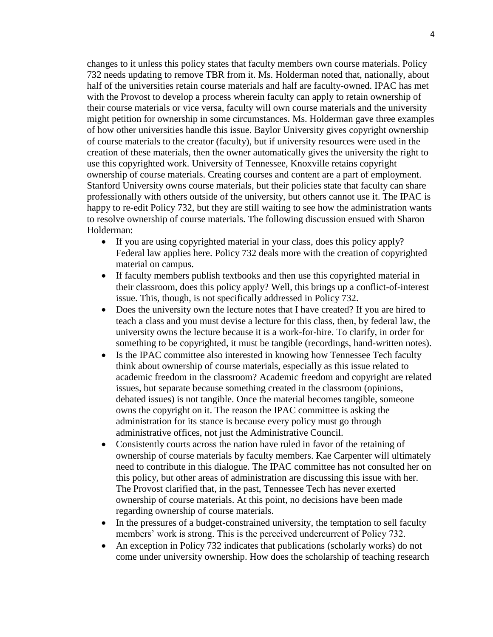changes to it unless this policy states that faculty members own course materials. Policy 732 needs updating to remove TBR from it. Ms. Holderman noted that, nationally, about half of the universities retain course materials and half are faculty-owned. IPAC has met with the Provost to develop a process wherein faculty can apply to retain ownership of their course materials or vice versa, faculty will own course materials and the university might petition for ownership in some circumstances. Ms. Holderman gave three examples of how other universities handle this issue. Baylor University gives copyright ownership of course materials to the creator (faculty), but if university resources were used in the creation of these materials, then the owner automatically gives the university the right to use this copyrighted work. University of Tennessee, Knoxville retains copyright ownership of course materials. Creating courses and content are a part of employment. Stanford University owns course materials, but their policies state that faculty can share professionally with others outside of the university, but others cannot use it. The IPAC is happy to re-edit Policy 732, but they are still waiting to see how the administration wants to resolve ownership of course materials. The following discussion ensued with Sharon Holderman:

- If you are using copyrighted material in your class, does this policy apply? Federal law applies here. Policy 732 deals more with the creation of copyrighted material on campus.
- If faculty members publish textbooks and then use this copyrighted material in their classroom, does this policy apply? Well, this brings up a conflict-of-interest issue. This, though, is not specifically addressed in Policy 732.
- Does the university own the lecture notes that I have created? If you are hired to teach a class and you must devise a lecture for this class, then, by federal law, the university owns the lecture because it is a work-for-hire. To clarify, in order for something to be copyrighted, it must be tangible (recordings, hand-written notes).
- Is the IPAC committee also interested in knowing how Tennessee Tech faculty think about ownership of course materials, especially as this issue related to academic freedom in the classroom? Academic freedom and copyright are related issues, but separate because something created in the classroom (opinions, debated issues) is not tangible. Once the material becomes tangible, someone owns the copyright on it. The reason the IPAC committee is asking the administration for its stance is because every policy must go through administrative offices, not just the Administrative Council.
- Consistently courts across the nation have ruled in favor of the retaining of ownership of course materials by faculty members. Kae Carpenter will ultimately need to contribute in this dialogue. The IPAC committee has not consulted her on this policy, but other areas of administration are discussing this issue with her. The Provost clarified that, in the past, Tennessee Tech has never exerted ownership of course materials. At this point, no decisions have been made regarding ownership of course materials.
- In the pressures of a budget-constrained university, the temptation to sell faculty members' work is strong. This is the perceived undercurrent of Policy 732.
- An exception in Policy 732 indicates that publications (scholarly works) do not come under university ownership. How does the scholarship of teaching research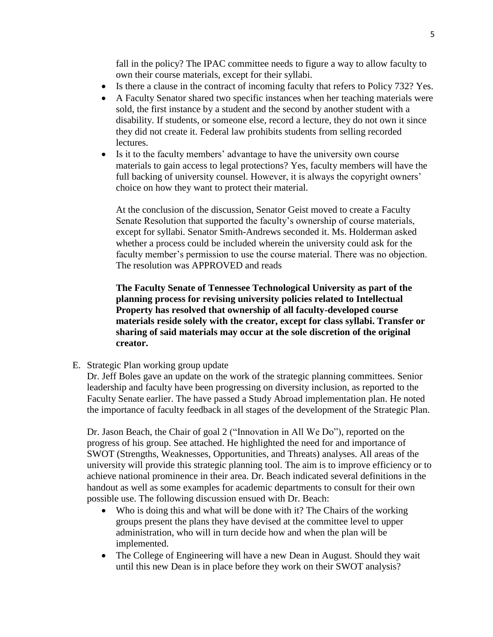fall in the policy? The IPAC committee needs to figure a way to allow faculty to own their course materials, except for their syllabi.

- Is there a clause in the contract of incoming faculty that refers to Policy 732? Yes.
- A Faculty Senator shared two specific instances when her teaching materials were sold, the first instance by a student and the second by another student with a disability. If students, or someone else, record a lecture, they do not own it since they did not create it. Federal law prohibits students from selling recorded lectures.
- Is it to the faculty members' advantage to have the university own course materials to gain access to legal protections? Yes, faculty members will have the full backing of university counsel. However, it is always the copyright owners' choice on how they want to protect their material.

At the conclusion of the discussion, Senator Geist moved to create a Faculty Senate Resolution that supported the faculty's ownership of course materials, except for syllabi. Senator Smith-Andrews seconded it. Ms. Holderman asked whether a process could be included wherein the university could ask for the faculty member's permission to use the course material. There was no objection. The resolution was APPROVED and reads

**The Faculty Senate of Tennessee Technological University as part of the planning process for revising university policies related to Intellectual Property has resolved that ownership of all faculty-developed course materials reside solely with the creator, except for class syllabi. Transfer or sharing of said materials may occur at the sole discretion of the original creator.**

E. Strategic Plan working group update

Dr. Jeff Boles gave an update on the work of the strategic planning committees. Senior leadership and faculty have been progressing on diversity inclusion, as reported to the Faculty Senate earlier. The have passed a Study Abroad implementation plan. He noted the importance of faculty feedback in all stages of the development of the Strategic Plan.

Dr. Jason Beach, the Chair of goal 2 ("Innovation in All We Do"), reported on the progress of his group. See attached. He highlighted the need for and importance of SWOT (Strengths, Weaknesses, Opportunities, and Threats) analyses. All areas of the university will provide this strategic planning tool. The aim is to improve efficiency or to achieve national prominence in their area. Dr. Beach indicated several definitions in the handout as well as some examples for academic departments to consult for their own possible use. The following discussion ensued with Dr. Beach:

- Who is doing this and what will be done with it? The Chairs of the working groups present the plans they have devised at the committee level to upper administration, who will in turn decide how and when the plan will be implemented.
- The College of Engineering will have a new Dean in August. Should they wait until this new Dean is in place before they work on their SWOT analysis?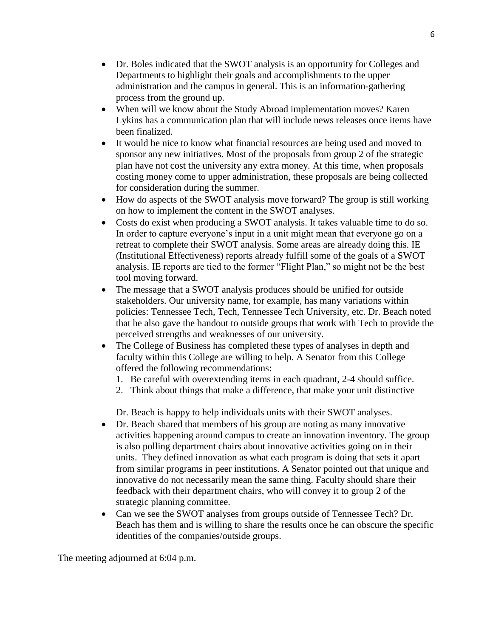- Dr. Boles indicated that the SWOT analysis is an opportunity for Colleges and Departments to highlight their goals and accomplishments to the upper administration and the campus in general. This is an information-gathering process from the ground up.
- When will we know about the Study Abroad implementation moves? Karen Lykins has a communication plan that will include news releases once items have been finalized.
- It would be nice to know what financial resources are being used and moved to sponsor any new initiatives. Most of the proposals from group 2 of the strategic plan have not cost the university any extra money. At this time, when proposals costing money come to upper administration, these proposals are being collected for consideration during the summer.
- How do aspects of the SWOT analysis move forward? The group is still working on how to implement the content in the SWOT analyses.
- Costs do exist when producing a SWOT analysis. It takes valuable time to do so. In order to capture everyone's input in a unit might mean that everyone go on a retreat to complete their SWOT analysis. Some areas are already doing this. IE (Institutional Effectiveness) reports already fulfill some of the goals of a SWOT analysis. IE reports are tied to the former "Flight Plan," so might not be the best tool moving forward.
- The message that a SWOT analysis produces should be unified for outside stakeholders. Our university name, for example, has many variations within policies: Tennessee Tech, Tech, Tennessee Tech University, etc. Dr. Beach noted that he also gave the handout to outside groups that work with Tech to provide the perceived strengths and weaknesses of our university.
- The College of Business has completed these types of analyses in depth and faculty within this College are willing to help. A Senator from this College offered the following recommendations:
	- 1. Be careful with overextending items in each quadrant, 2-4 should suffice.
	- 2. Think about things that make a difference, that make your unit distinctive

Dr. Beach is happy to help individuals units with their SWOT analyses.

- Dr. Beach shared that members of his group are noting as many innovative activities happening around campus to create an innovation inventory. The group is also polling department chairs about innovative activities going on in their units. They defined innovation as what each program is doing that sets it apart from similar programs in peer institutions. A Senator pointed out that unique and innovative do not necessarily mean the same thing. Faculty should share their feedback with their department chairs, who will convey it to group 2 of the strategic planning committee.
- Can we see the SWOT analyses from groups outside of Tennessee Tech? Dr. Beach has them and is willing to share the results once he can obscure the specific identities of the companies/outside groups.

The meeting adjourned at 6:04 p.m.